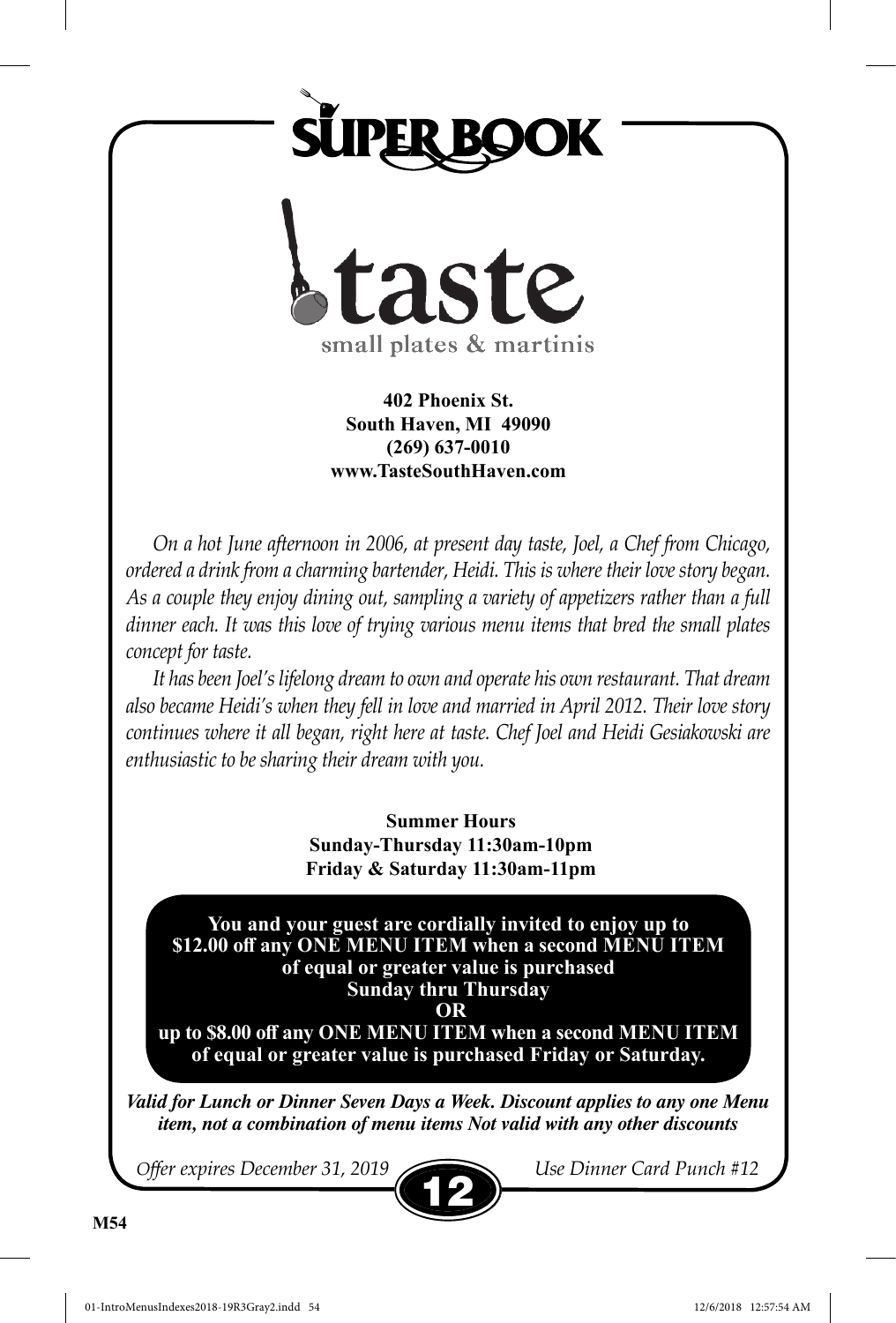



**402 Phoenix St. South Haven, MI 49090 (269) 637-0010 www.TasteSouthHaven.com**

*On a hot June afternoon in 2006, at present day taste, Joel, a Chef from Chicago, ordered a drink from a charming bartender, Heidi. This is where their love story began. As a couple they enjoy dining out, sampling a variety of appetizers rather than a full*  dinner each. It was this love of trying various menu items that bred the small plates *concept for taste.*

*It has been Joel's lifelong dream to own and operate his own restaurant. That dream also became Heidi's when they fell in love and married in April 2012. Their love story continues where it all began, right here at taste. Chef Joel and Heidi Gesiakowski are enthusiastic to be sharing their dream with you.*

> **Summer Hours Sunday-Thursday 11:30am-10pm Friday & Saturday 11:30am-11pm**

**You and your guest are cordially invited to enjoy up to \$12.00 off any ONE MENU ITEM when a second MENU ITEM of equal or greater value is purchased Sunday thru Thursday**

 **OR** 

**up to \$8.00 off any ONE MENU ITEM when a second MENU ITEM of equal or greater value is purchased Friday or Saturday.**

*Valid for Lunch or Dinner Seven Days a Week. Discount applies to any one Menu item, not a combination of menu items Not valid with any other discounts*

*Offer expires December 31, 2019 Use Dinner Card Punch #12*

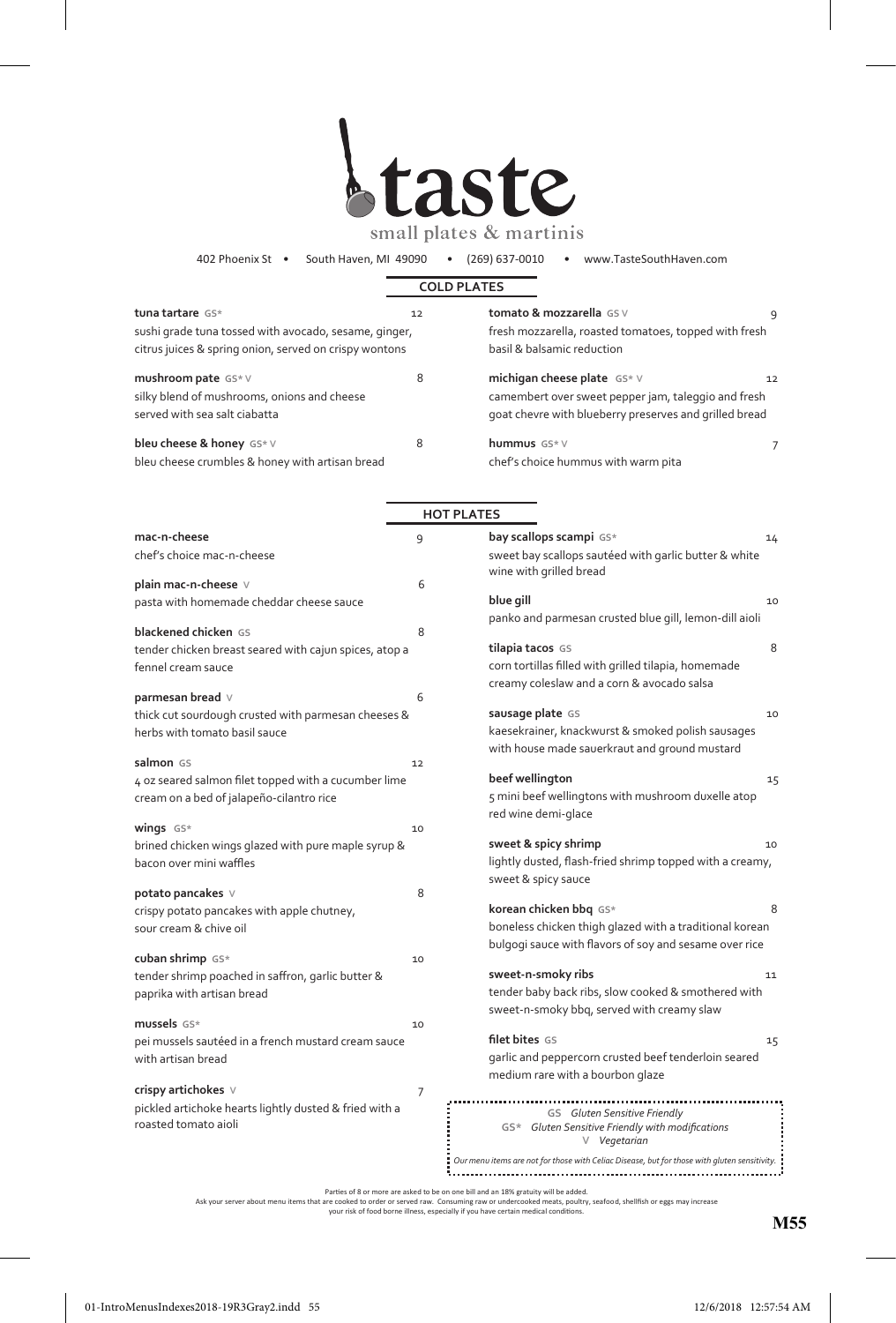

402 Phoenix St • South Haven, MI 49090 • (269) 637-0010 • www.TasteSouthHaven.com

|                                                        |    | <b>COLD PLATES</b>                                                                           |
|--------------------------------------------------------|----|----------------------------------------------------------------------------------------------|
| tuna tartare GS*                                       | 12 | tomato & mozzarella GSV<br>٩                                                                 |
| sushi grade tuna tossed with avocado, sesame, ginger,  |    | fresh mozzarella, roasted tomatoes, topped with fresh                                        |
| citrus juices & spring onion, served on crispy wontons |    | basil & balsamic reduction                                                                   |
| mushroom pate GS* V                                    | 8  | michigan cheese plate GS* V<br>12                                                            |
| silky blend of mushrooms, onions and cheese            |    | camembert over sweet pepper jam, taleggio and fresh                                          |
| served with sea salt ciabatta                          |    | goat chevre with blueberry preserves and grilled bread                                       |
| bleu cheese & honey GS* V                              | 8  | hummus GS*V<br>7                                                                             |
| bleu cheese crumbles & honey with artisan bread        |    | chef's choice hummus with warm pita                                                          |
|                                                        |    | <b>HOT PLATES</b>                                                                            |
| mac-n-cheese                                           | 9  | bay scallops scampi GS*<br>14                                                                |
| chef's choice mac-n-cheese                             |    | sweet bay scallops sautéed with garlic butter & white<br>wine with grilled bread             |
| plain mac-n-cheese $\vee$                              | 6  |                                                                                              |
| pasta with homemade cheddar cheese sauce               |    | blue gill<br>10                                                                              |
| blackened chicken GS                                   | 8  | panko and parmesan crusted blue gill, lemon-dill aioli                                       |
| tender chicken breast seared with cajun spices, atop a |    | 8<br>tilapia tacos GS                                                                        |
| fennel cream sauce                                     |    | corn tortillas filled with grilled tilapia, homemade                                         |
|                                                        |    | creamy coleslaw and a corn & avocado salsa                                                   |
| parmesan bread $\vee$                                  | 6  |                                                                                              |
| thick cut sourdough crusted with parmesan cheeses &    |    | sausage plate GS<br>10                                                                       |
| herbs with tomato basil sauce                          |    | kaesekrainer, knackwurst & smoked polish sausages                                            |
|                                                        |    | with house made sauerkraut and ground mustard                                                |
| salmon GS                                              | 12 | beef wellington<br>15                                                                        |
| 4 oz seared salmon filet topped with a cucumber lime   |    | 5 mini beef wellingtons with mushroom duxelle atop                                           |
| cream on a bed of jalapeño-cilantro rice               |    | red wine demi-glace                                                                          |
| wings $GS*$                                            | 10 |                                                                                              |
| brined chicken wings glazed with pure maple syrup &    |    | sweet & spicy shrimp<br>10                                                                   |
| bacon over mini waffles                                |    | lightly dusted, flash-fried shrimp topped with a creamy,                                     |
|                                                        |    | sweet & spicy sauce                                                                          |
| potato pancakes ∨                                      | 8  | 8<br>korean chicken bbq GS*                                                                  |
| crispy potato pancakes with apple chutney,             |    | boneless chicken thigh glazed with a traditional korean                                      |
| sour cream & chive oil                                 |    | bulgogi sauce with flavors of soy and sesame over rice                                       |
| cuban shrimp GS*                                       | 10 |                                                                                              |
| tender shrimp poached in saffron, garlic butter &      |    | sweet-n-smoky ribs<br>11                                                                     |
| paprika with artisan bread                             |    | tender baby back ribs, slow cooked & smothered with                                          |
|                                                        |    | sweet-n-smoky bbq, served with creamy slaw                                                   |
| mussels GS*                                            | 10 | filet bites GS                                                                               |
| pei mussels sautéed in a french mustard cream sauce    |    | 15<br>garlic and peppercorn crusted beef tenderloin seared                                   |
| with artisan bread                                     |    | medium rare with a bourbon glaze                                                             |
| crispy artichokes $\vee$                               | 7  |                                                                                              |
| pickled artichoke hearts lightly dusted & fried with a |    |                                                                                              |
| roasted tomato aioli                                   |    | GS Gluten Sensitive Friendly<br>GS* Gluten Sensitive Friendly with modifications             |
|                                                        |    | V Vegetarian                                                                                 |
|                                                        |    | Our menu items are not for those with Celiac Disease, but for those with gluten sensitivity. |

Parties of 8 or more are asked to be on one bill and an 18% gratuity will be added.<br>Ask your server about menu items that are cooked to order or served raw or undercooked meats, poulfry, seafood, shellfish or eggs may incr

**M55**